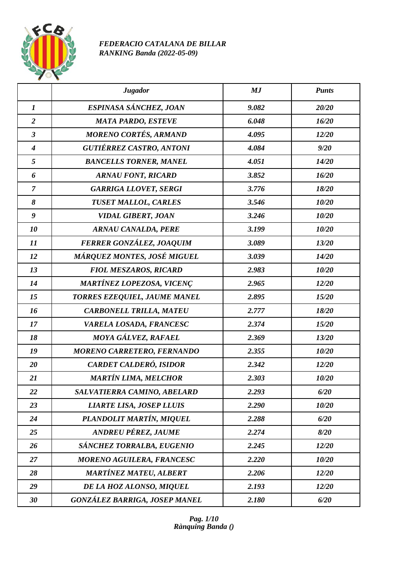

## *FEDERACIO CATALANA DE BILLAR RANKING Banda (2022-05-09)*

|                  | <b>Jugador</b>                       | MJ    | <b>Punts</b> |
|------------------|--------------------------------------|-------|--------------|
| $\boldsymbol{l}$ | ESPINASA SÁNCHEZ, JOAN               | 9.082 | 20/20        |
| $\overline{2}$   | <b>MATA PARDO, ESTEVE</b>            | 6.048 | 16/20        |
| $\mathbf{3}$     | <b>MORENO CORTÉS, ARMAND</b>         | 4.095 | 12/20        |
| $\boldsymbol{4}$ | <b>GUTIÉRREZ CASTRO, ANTONI</b>      | 4.084 | 9/20         |
| 5                | <b>BANCELLS TORNER, MANEL</b>        | 4.051 | 14/20        |
| 6                | <b>ARNAU FONT, RICARD</b>            | 3.852 | 16/20        |
| $\overline{7}$   | <b>GARRIGA LLOVET, SERGI</b>         | 3.776 | 18/20        |
| 8                | <b>TUSET MALLOL, CARLES</b>          | 3.546 | 10/20        |
| 9                | <b>VIDAL GIBERT, JOAN</b>            | 3.246 | 10/20        |
| 10               | <b>ARNAU CANALDA, PERE</b>           | 3.199 | 10/20        |
| 11               | FERRER GONZÁLEZ, JOAQUIM             | 3.089 | 13/20        |
| 12               | MÁRQUEZ MONTES, JOSÉ MIGUEL          | 3.039 | 14/20        |
| 13               | <b>FIOL MESZAROS, RICARD</b>         | 2.983 | 10/20        |
| 14               | MARTÍNEZ LOPEZOSA, VICENÇ            | 2.965 | 12/20        |
| 15               | TORRES EZEQUIEL, JAUME MANEL         | 2.895 | 15/20        |
| 16               | <b>CARBONELL TRILLA, MATEU</b>       | 2.777 | 18/20        |
| 17               | VARELA LOSADA, FRANCESC              | 2.374 | 15/20        |
| 18               | MOYA GÁLVEZ, RAFAEL                  | 2.369 | 13/20        |
| 19               | MORENO CARRETERO, FERNANDO           | 2.355 | 10/20        |
| 20               | CARDET CALDERÓ, ISIDOR               | 2.342 | 12/20        |
| 21               | <b>MARTÍN LIMA, MELCHOR</b>          | 2.303 | 10/20        |
| 22               | SALVATIERRA CAMINO, ABELARD          | 2.293 | 6/20         |
| 23               | <b>LIARTE LISA, JOSEP LLUIS</b>      | 2.290 | 10/20        |
| 24               | PLANDOLIT MARTÍN, MIQUEL             | 2.288 | 6/20         |
| 25               | <b>ANDREU PÉREZ, JAUME</b>           | 2.274 | 8/20         |
| 26               | SÁNCHEZ TORRALBA, EUGENIO            | 2.245 | 12/20        |
| 27               | <b>MORENO AGUILERA, FRANCESC</b>     | 2.220 | 10/20        |
| 28               | <b>MARTÍNEZ MATEU, ALBERT</b>        | 2.206 | 12/20        |
| 29               | DE LA HOZ ALONSO, MIQUEL             | 2.193 | 12/20        |
| 30               | <b>GONZÁLEZ BARRIGA, JOSEP MANEL</b> | 2.180 | 6/20         |

*Pag. 1/10 Rànquing Banda ()*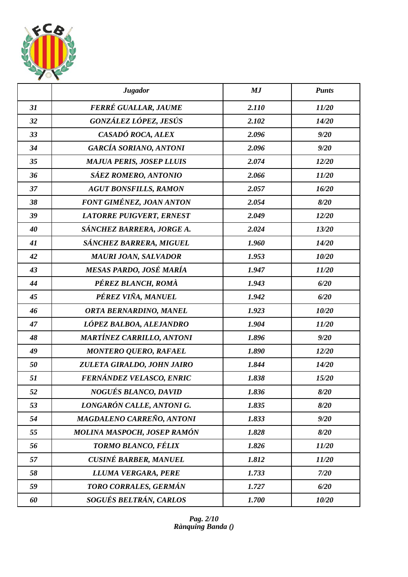

|    | <b>Jugador</b>                   | MJ    | <b>Punts</b> |
|----|----------------------------------|-------|--------------|
| 31 | FERRÉ GUALLAR, JAUME             | 2.110 | 11/20        |
| 32 | GONZÁLEZ LÓPEZ, JESÚS            | 2.102 | 14/20        |
| 33 | CASADÓ ROCA, ALEX                | 2.096 | 9/20         |
| 34 | <b>GARCÍA SORIANO, ANTONI</b>    | 2.096 | 9/20         |
| 35 | <b>MAJUA PERIS, JOSEP LLUIS</b>  | 2.074 | 12/20        |
| 36 | SÁEZ ROMERO, ANTONIO             | 2.066 | 11/20        |
| 37 | <b>AGUT BONSFILLS, RAMON</b>     | 2.057 | 16/20        |
| 38 | FONT GIMÉNEZ, JOAN ANTON         | 2.054 | 8/20         |
| 39 | <b>LATORRE PUIGVERT, ERNEST</b>  | 2.049 | 12/20        |
| 40 | SÁNCHEZ BARRERA, JORGE A.        | 2.024 | 13/20        |
| 41 | SÁNCHEZ BARRERA, MIGUEL          | 1.960 | 14/20        |
| 42 | <b>MAURI JOAN, SALVADOR</b>      | 1.953 | 10/20        |
| 43 | MESAS PARDO, JOSÉ MARÍA          | 1.947 | 11/20        |
| 44 | PÉREZ BLANCH, ROMÀ               | 1.943 | 6/20         |
| 45 | PÉREZ VIÑA, MANUEL               | 1.942 | 6/20         |
| 46 | ORTA BERNARDINO, MANEL           | 1.923 | 10/20        |
| 47 | LÓPEZ BALBOA, ALEJANDRO          | 1.904 | 11/20        |
| 48 | <b>MARTÍNEZ CARRILLO, ANTONI</b> | 1.896 | 9/20         |
| 49 | <b>MONTERO QUERO, RAFAEL</b>     | 1.890 | 12/20        |
| 50 | ZULETA GIRALDO, JOHN JAIRO       | 1.844 | 14/20        |
| 51 | FERNÁNDEZ VELASCO, ENRIC         | 1.838 | 15/20        |
| 52 | NOGUÉS BLANCO, DAVID             | 1.836 | 8/20         |
| 53 | LONGARÓN CALLE, ANTONI G.        | 1.835 | 8/20         |
| 54 | MAGDALENO CARREÑO, ANTONI        | 1.833 | 9/20         |
| 55 | MOLINA MASPOCH, JOSEP RAMÓN      | 1.828 | 8/20         |
| 56 | TORMO BLANCO, FÉLIX              | 1.826 | 11/20        |
| 57 | <b>CUSINÉ BARBER, MANUEL</b>     | 1.812 | 11/20        |
| 58 | LLUMA VERGARA, PERE              | 1.733 | 7/20         |
| 59 | TORO CORRALES, GERMÁN            | 1.727 | 6/20         |
| 60 | SOGUÉS BELTRÁN, CARLOS           | 1.700 | 10/20        |

*Pag. 2/10 Rànquing Banda ()*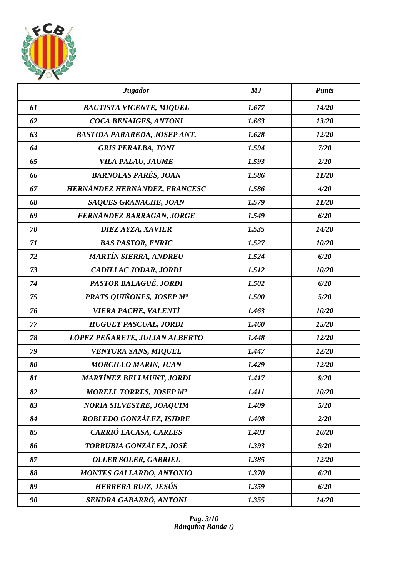

|    | <b>Jugador</b>                      | MJ    | <b>Punts</b> |
|----|-------------------------------------|-------|--------------|
| 61 | <b>BAUTISTA VICENTE, MIQUEL</b>     | 1.677 | 14/20        |
| 62 | <b>COCA BENAIGES, ANTONI</b>        | 1.663 | 13/20        |
| 63 | <b>BASTIDA PARAREDA, JOSEP ANT.</b> | 1.628 | 12/20        |
| 64 | <b>GRIS PERALBA, TONI</b>           | 1.594 | 7/20         |
| 65 | VILA PALAU, JAUME                   | 1.593 | 2/20         |
| 66 | <b>BARNOLAS PARÉS, JOAN</b>         | 1.586 | 11/20        |
| 67 | HERNÁNDEZ HERNÁNDEZ, FRANCESC       | 1.586 | 4/20         |
| 68 | SAQUES GRANACHE, JOAN               | 1.579 | 11/20        |
| 69 | FERNÁNDEZ BARRAGAN, JORGE           | 1.549 | 6/20         |
| 70 | DIEZ AYZA, XAVIER                   | 1.535 | 14/20        |
| 71 | <b>BAS PASTOR, ENRIC</b>            | 1.527 | 10/20        |
| 72 | <b>MARTÍN SIERRA, ANDREU</b>        | 1.524 | 6/20         |
| 73 | CADILLAC JODAR, JORDI               | 1.512 | 10/20        |
| 74 | PASTOR BALAGUÉ, JORDI               | 1.502 | 6/20         |
| 75 | PRATS QUIÑONES, JOSEP Mª            | 1.500 | 5/20         |
| 76 | VIERA PACHE, VALENTÍ                | 1.463 | 10/20        |
| 77 | <b>HUGUET PASCUAL, JORDI</b>        | 1.460 | 15/20        |
| 78 | LÓPEZ PEÑARETE, JULIAN ALBERTO      | 1.448 | 12/20        |
| 79 | <b>VENTURA SANS, MIQUEL</b>         | 1.447 | 12/20        |
| 80 | <b>MORCILLO MARIN, JUAN</b>         | 1.429 | 12/20        |
| 81 | <b>MARTÍNEZ BELLMUNT, JORDI</b>     | 1.417 | 9/20         |
| 82 | <b>MORELL TORRES, JOSEP Ma</b>      | 1.411 | 10/20        |
| 83 | <b>NORIA SILVESTRE, JOAQUIM</b>     | 1.409 | 5/20         |
| 84 | ROBLEDO GONZÁLEZ, ISIDRE            | 1.408 | 2/20         |
| 85 | CARRIÓ LACASA, CARLES               | 1.403 | 10/20        |
| 86 | TORRUBIA GONZÁLEZ, JOSÉ             | 1.393 | 9/20         |
| 87 | <b>OLLER SOLER, GABRIEL</b>         | 1.385 | 12/20        |
| 88 | <b>MONTES GALLARDO, ANTONIO</b>     | 1.370 | 6/20         |
| 89 | <b>HERRERA RUIZ, JESÚS</b>          | 1.359 | 6/20         |
| 90 | SENDRA GABARRÓ, ANTONI              | 1.355 | 14/20        |

*Pag. 3/10 Rànquing Banda ()*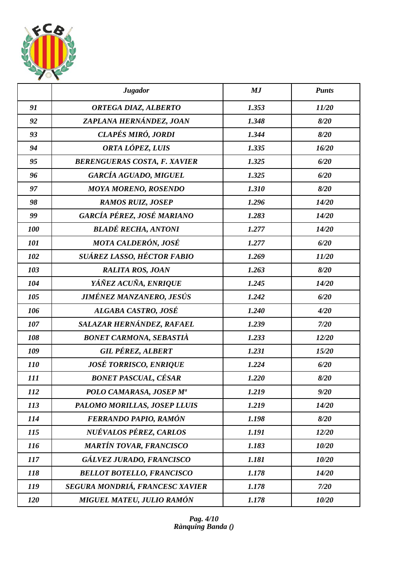

|            | <b>Jugador</b>                      | MJ    | <b>Punts</b> |
|------------|-------------------------------------|-------|--------------|
| 91         | ORTEGA DIAZ, ALBERTO                | 1.353 | 11/20        |
| 92         | ZAPLANA HERNÁNDEZ, JOAN             | 1.348 | 8/20         |
| 93         | CLAPÉS MIRÓ, JORDI                  | 1.344 | 8/20         |
| 94         | ORTA LÓPEZ, LUIS                    | 1.335 | 16/20        |
| 95         | <b>BERENGUERAS COSTA, F. XAVIER</b> | 1.325 | 6/20         |
| 96         | <b>GARCÍA AGUADO, MIGUEL</b>        | 1.325 | 6/20         |
| 97         | <b>MOYA MORENO, ROSENDO</b>         | 1.310 | 8/20         |
| 98         | <b>RAMOS RUIZ, JOSEP</b>            | 1.296 | 14/20        |
| 99         | GARCÍA PÉREZ, JOSÉ MARIANO          | 1.283 | 14/20        |
| 100        | <b>BLADÉ RECHA, ANTONI</b>          | 1.277 | 14/20        |
| 101        | MOTA CALDERÓN, JOSÉ                 | 1.277 | 6/20         |
| 102        | SUÁREZ LASSO, HÉCTOR FABIO          | 1.269 | 11/20        |
| 103        | <b>RALITA ROS, JOAN</b>             | 1.263 | 8/20         |
| 104        | YÁÑEZ ACUÑA, ENRIQUE                | 1.245 | 14/20        |
| 105        | <b>JIMÉNEZ MANZANERO, JESÚS</b>     | 1.242 | 6/20         |
| 106        | ALGABA CASTRO, JOSÉ                 | 1.240 | 4/20         |
| 107        | SALAZAR HERNÁNDEZ, RAFAEL           | 1.239 | 7/20         |
| 108        | <b>BONET CARMONA, SEBASTIÀ</b>      | 1.233 | 12/20        |
| 109        | <b>GIL PÉREZ, ALBERT</b>            | 1.231 | 15/20        |
| <i>110</i> | <b>JOSÉ TORRISCO, ENRIQUE</b>       | 1.224 | 6/20         |
| 111        | <b>BONET PASCUAL, CÉSAR</b>         | 1.220 | 8/20         |
| <i>112</i> | POLO CAMARASA, JOSEP Mª             | 1.219 | 9/20         |
| 113        | PALOMO MORILLAS, JOSEP LLUIS        | 1.219 | 14/20        |
| 114        | FERRANDO PAPIO, RAMÓN               | 1.198 | 8/20         |
| 115        | NUÉVALOS PÉREZ, CARLOS              | 1.191 | 12/20        |
| 116        | <b>MARTÍN TOVAR, FRANCISCO</b>      | 1.183 | 10/20        |
| 117        | GÁLVEZ JURADO, FRANCISCO            | 1.181 | 10/20        |
| 118        | <b>BELLOT BOTELLO, FRANCISCO</b>    | 1.178 | 14/20        |
| 119        | SEGURA MONDRIÁ, FRANCESC XAVIER     | 1.178 | 7/20         |
| <b>120</b> | MIGUEL MATEU, JULIO RAMÓN           | 1.178 | 10/20        |

*Pag. 4/10 Rànquing Banda ()*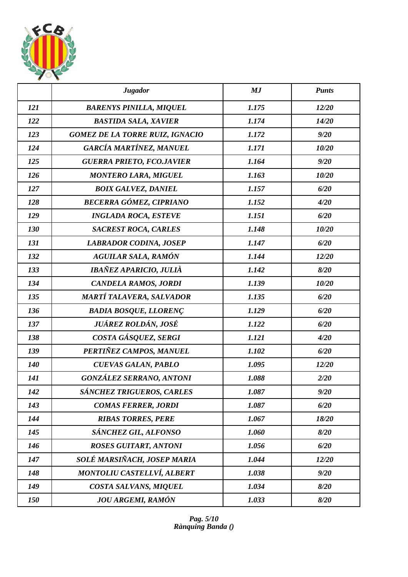

|            | <b>Jugador</b>                         | MJ    | <b>Punts</b> |
|------------|----------------------------------------|-------|--------------|
| 121        | <b>BARENYS PINILLA, MIQUEL</b>         | 1.175 | 12/20        |
| 122        | <b>BASTIDA SALA, XAVIER</b>            | 1.174 | 14/20        |
| 123        | <b>GOMEZ DE LA TORRE RUIZ, IGNACIO</b> | 1.172 | 9/20         |
| 124        | GARCÍA MARTÍNEZ, MANUEL                | 1.171 | 10/20        |
| 125        | <b>GUERRA PRIETO, FCO.JAVIER</b>       | 1.164 | 9/20         |
| 126        | <b>MONTERO LARA, MIGUEL</b>            | 1.163 | 10/20        |
| 127        | <b>BOIX GALVEZ, DANIEL</b>             | 1.157 | 6/20         |
| 128        | <b>BECERRA GÓMEZ, CIPRIANO</b>         | 1.152 | 4/20         |
| 129        | <b>INGLADA ROCA, ESTEVE</b>            | 1.151 | 6/20         |
| 130        | <b>SACREST ROCA, CARLES</b>            | 1.148 | 10/20        |
| 131        | <b>LABRADOR CODINA, JOSEP</b>          | 1.147 | 6/20         |
| 132        | <b>AGUILAR SALA, RAMÓN</b>             | 1.144 | 12/20        |
| 133        | IBAÑEZ APARICIO, JULIÀ                 | 1.142 | 8/20         |
| 134        | CANDELA RAMOS, JORDI                   | 1.139 | 10/20        |
| 135        | MARTÍ TALAVERA, SALVADOR               | 1.135 | 6/20         |
| 136        | <b>BADIA BOSQUE, LLORENÇ</b>           | 1.129 | 6/20         |
| 137        | JUÁREZ ROLDÁN, JOSÉ                    | 1.122 | 6/20         |
| 138        | COSTA GÁSQUEZ, SERGI                   | 1.121 | 4/20         |
| 139        | PERTIÑEZ CAMPOS, MANUEL                | 1.102 | 6/20         |
| <b>140</b> | <b>CUEVAS GALAN, PABLO</b>             | 1.095 | 12/20        |
| 141        | <b>GONZÁLEZ SERRANO, ANTONI</b>        | 1.088 | 2/20         |
| 142        | SÁNCHEZ TRIGUEROS, CARLES              | 1.087 | 9/20         |
| 143        | <b>COMAS FERRER, JORDI</b>             | 1.087 | 6/20         |
| 144        | <b>RIBAS TORRES, PERE</b>              | 1.067 | 18/20        |
| 145        | SÁNCHEZ GIL, ALFONSO                   | 1.060 | 8/20         |
| 146        | <b>ROSES GUITART, ANTONI</b>           | 1.056 | 6/20         |
| 147        | SOLÉ MARSIÑACH, JOSEP MARIA            | 1.044 | 12/20        |
| 148        | <b>MONTOLIU CASTELLVÍ, ALBERT</b>      | 1.038 | 9/20         |
| 149        | COSTA SALVANS, MIQUEL                  | 1.034 | 8/20         |
| 150        | <b>JOU ARGEMI, RAMÓN</b>               | 1.033 | 8/20         |

*Pag. 5/10 Rànquing Banda ()*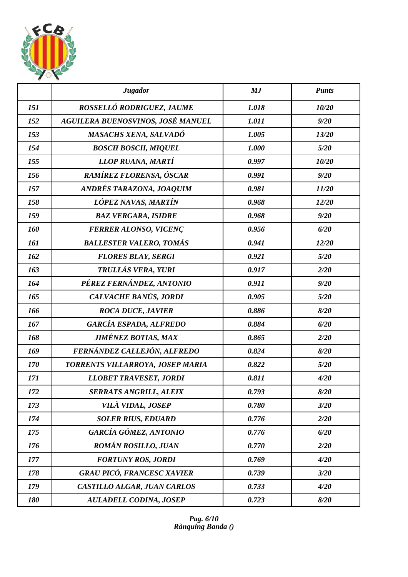

|     | <b>Jugador</b>                    | MJ    | <b>Punts</b> |
|-----|-----------------------------------|-------|--------------|
| 151 | ROSSELLÓ RODRIGUEZ, JAUME         | 1.018 | 10/20        |
| 152 | AGUILERA BUENOSVINOS, JOSÉ MANUEL | 1.011 | 9/20         |
| 153 | <b>MASACHS XENA, SALVADÓ</b>      | 1.005 | 13/20        |
| 154 | <b>BOSCH BOSCH, MIQUEL</b>        | 1.000 | 5/20         |
| 155 | LLOP RUANA, MARTÍ                 | 0.997 | 10/20        |
| 156 | RAMÍREZ FLORENSA, ÓSCAR           | 0.991 | 9/20         |
| 157 | ANDRÉS TARAZONA, JOAQUIM          | 0.981 | 11/20        |
| 158 | LÓPEZ NAVAS, MARTÍN               | 0.968 | 12/20        |
| 159 | <b>BAZ VERGARA, ISIDRE</b>        | 0.968 | 9/20         |
| 160 | <b>FERRER ALONSO, VICENÇ</b>      | 0.956 | 6/20         |
| 161 | <b>BALLESTER VALERO, TOMÁS</b>    | 0.941 | 12/20        |
| 162 | <b>FLORES BLAY, SERGI</b>         | 0.921 | 5/20         |
| 163 | TRULLÁS VERA, YURI                | 0.917 | 2/20         |
| 164 | PÉREZ FERNÁNDEZ, ANTONIO          | 0.911 | 9/20         |
| 165 | CALVACHE BANÚS, JORDI             | 0.905 | 5/20         |
| 166 | <b>ROCA DUCE, JAVIER</b>          | 0.886 | 8/20         |
| 167 | <b>GARCÍA ESPADA, ALFREDO</b>     | 0.884 | 6/20         |
| 168 | <b>JIMÉNEZ BOTIAS, MAX</b>        | 0.865 | 2/20         |
| 169 | FERNÁNDEZ CALLEJÓN, ALFREDO       | 0.824 | 8/20         |
| 170 | TORRENTS VILLARROYA, JOSEP MARIA  | 0.822 | 5/20         |
| 171 | <b>LLOBET TRAVESET, JORDI</b>     | 0.811 | 4/20         |
| 172 | <b>SERRATS ANGRILL, ALEIX</b>     | 0.793 | 8/20         |
| 173 | VILÀ VIDAL, JOSEP                 | 0.780 | 3/20         |
| 174 | <b>SOLER RIUS, EDUARD</b>         | 0.776 | 2/20         |
| 175 | GARCÍA GÓMEZ, ANTONIO             | 0.776 | 6/20         |
| 176 | <b>ROMÁN ROSILLO, JUAN</b>        | 0.770 | 2/20         |
| 177 | <b>FORTUNY ROS, JORDI</b>         | 0.769 | 4/20         |
| 178 | <b>GRAU PICÓ, FRANCESC XAVIER</b> | 0.739 | 3/20         |
| 179 | CASTILLO ALGAR, JUAN CARLOS       | 0.733 | 4/20         |
| 180 | <b>AULADELL CODINA, JOSEP</b>     | 0.723 | 8/20         |

*Pag. 6/10 Rànquing Banda ()*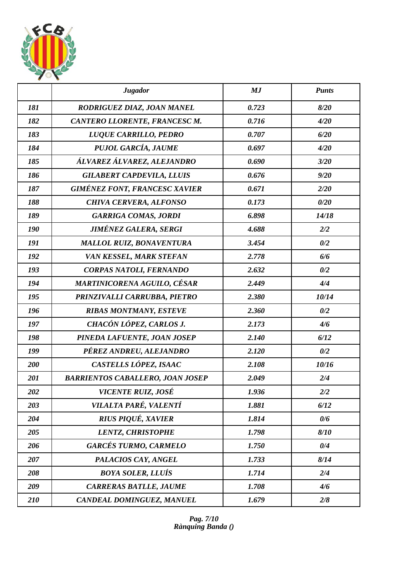

|     | <b>Jugador</b>                          | MJ    | <b>Punts</b> |
|-----|-----------------------------------------|-------|--------------|
| 181 | RODRIGUEZ DIAZ, JOAN MANEL              | 0.723 | 8/20         |
| 182 | CANTERO LLORENTE, FRANCESC M.           | 0.716 | 4/20         |
| 183 | LUQUE CARRILLO, PEDRO                   | 0.707 | 6/20         |
| 184 | PUJOL GARCÍA, JAUME                     | 0.697 | 4/20         |
| 185 | ÁLVAREZ ÁLVAREZ, ALEJANDRO              | 0.690 | 3/20         |
| 186 | <b>GILABERT CAPDEVILA, LLUIS</b>        | 0.676 | 9/20         |
| 187 | <b>GIMÉNEZ FONT, FRANCESC XAVIER</b>    | 0.671 | 2/20         |
| 188 | <b>CHIVA CERVERA, ALFONSO</b>           | 0.173 | 0/20         |
| 189 | <b>GARRIGA COMAS, JORDI</b>             | 6.898 | 14/18        |
| 190 | <b>JIMÉNEZ GALERA, SERGI</b>            | 4.688 | 2/2          |
| 191 | <b>MALLOL RUIZ, BONAVENTURA</b>         | 3.454 | 0/2          |
| 192 | VAN KESSEL, MARK STEFAN                 | 2.778 | 6/6          |
| 193 | CORPAS NATOLI, FERNANDO                 | 2.632 | 0/2          |
| 194 | <b>MARTINICORENA AGUILO, CÉSAR</b>      | 2.449 | 4/4          |
| 195 | PRINZIVALLI CARRUBBA, PIETRO            | 2.380 | 10/14        |
| 196 | <b>RIBAS MONTMANY, ESTEVE</b>           | 2.360 | 0/2          |
| 197 | CHACÓN LÓPEZ, CARLOS J.                 | 2.173 | 4/6          |
| 198 | PINEDA LAFUENTE, JOAN JOSEP             | 2.140 | 6/12         |
| 199 | PÉREZ ANDREU, ALEJANDRO                 | 2.120 | 0/2          |
| 200 | CASTELLS LÓPEZ, ISAAC                   | 2.108 | 10/16        |
| 201 | <b>BARRIENTOS CABALLERO, JOAN JOSEP</b> | 2.049 | 2/4          |
| 202 | <b>VICENTE RUIZ, JOSÉ</b>               | 1.936 | 2/2          |
| 203 | VILALTA PARÉ, VALENTÍ                   | 1.881 | 6/12         |
| 204 | <b>RIUS PIQUÉ, XAVIER</b>               | 1.814 | 0/6          |
| 205 | LENTZ, CHRISTOPHE                       | 1.798 | 8/10         |
| 206 | <b>GARCÉS TURMO, CARMELO</b>            | 1.750 | 0/4          |
| 207 | PALACIOS CAY, ANGEL                     | 1.733 | 8/14         |
| 208 | <b>BOYA SOLER, LLUÍS</b>                | 1.714 | 2/4          |
| 209 | <b>CARRERAS BATLLE, JAUME</b>           | 1.708 | 4/6          |
| 210 | CANDEAL DOMINGUEZ, MANUEL               | 1.679 | 2/8          |

*Pag. 7/10 Rànquing Banda ()*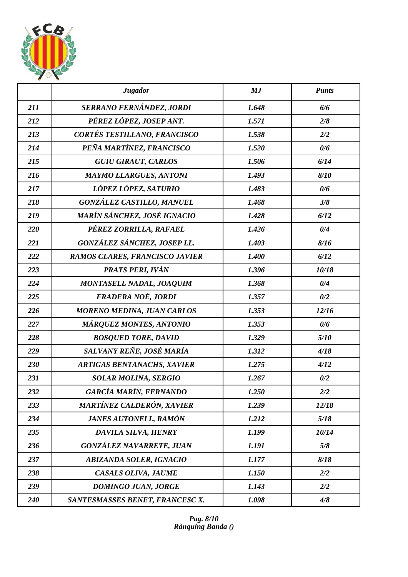

|     | <b>Jugador</b>                    | MJ    | <b>Punts</b> |
|-----|-----------------------------------|-------|--------------|
| 211 | SERRANO FERNÁNDEZ, JORDI          | 1.648 | 6/6          |
| 212 | PÉREZ LÓPEZ, JOSEP ANT.           | 1.571 | 2/8          |
| 213 | CORTÉS TESTILLANO, FRANCISCO      | 1.538 | 2/2          |
| 214 | PEÑA MARTÍNEZ, FRANCISCO          | 1.520 | 0/6          |
| 215 | <b>GUIU GIRAUT, CARLOS</b>        | 1.506 | 6/14         |
| 216 | <b>MAYMO LLARGUES, ANTONI</b>     | 1.493 | 8/10         |
| 217 | LÓPEZ LÓPEZ, SATURIO              | 1.483 | 0/6          |
| 218 | <b>GONZÁLEZ CASTILLO, MANUEL</b>  | 1.468 | 3/8          |
| 219 | MARÍN SÁNCHEZ, JOSÉ IGNACIO       | 1.428 | 6/12         |
| 220 | PÉREZ ZORRILLA, RAFAEL            | 1.426 | 0/4          |
| 221 | GONZÁLEZ SÁNCHEZ, JOSEP LL.       | 1.403 | 8/16         |
| 222 | RAMOS CLARES, FRANCISCO JAVIER    | 1.400 | 6/12         |
| 223 | <b>PRATS PERI, IVÁN</b>           | 1.396 | 10/18        |
| 224 | MONTASELL NADAL, JOAQUIM          | 1.368 | 0/4          |
| 225 | FRADERA NOÉ, JORDI                | 1.357 | 0/2          |
| 226 | <b>MORENO MEDINA, JUAN CARLOS</b> | 1.353 | 12/16        |
| 227 | <b>MÁRQUEZ MONTES, ANTONIO</b>    | 1.353 | 0/6          |
| 228 | <b>BOSQUED TORE, DAVID</b>        | 1.329 | 5/10         |
| 229 | SALVANY REÑE, JOSÉ MARÍA          | 1.312 | 4/18         |
| 230 | <b>ARTIGAS BENTANACHS, XAVIER</b> | 1.275 | 4/12         |
| 231 | <b>SOLAR MOLINA, SERGIO</b>       | 1.267 | 0/2          |
| 232 | <b>GARCÍA MARÍN, FERNANDO</b>     | 1.250 | 2/2          |
| 233 | <b>MARTÍNEZ CALDERÓN, XAVIER</b>  | 1.239 | 12/18        |
| 234 | <b>JANES AUTONELL, RAMÓN</b>      | 1.212 | 5/18         |
| 235 | DAVILA SILVA, HENRY               | 1.199 | 10/14        |
| 236 | <b>GONZÁLEZ NAVARRETE, JUAN</b>   | 1.191 | 5/8          |
| 237 | <b>ABIZANDA SOLER, IGNACIO</b>    | 1.177 | 8/18         |
| 238 | <b>CASALS OLIVA, JAUME</b>        | 1.150 | 2/2          |
| 239 | <b>DOMINGO JUAN, JORGE</b>        | 1.143 | 2/2          |
| 240 | SANTESMASSES BENET, FRANCESC X.   | 1.098 | 4/8          |

*Pag. 8/10 Rànquing Banda ()*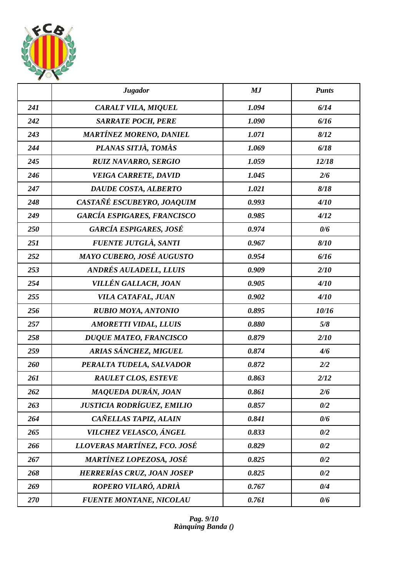

|     | <b>Jugador</b>                     | MJ    | <b>Punts</b> |
|-----|------------------------------------|-------|--------------|
| 241 | CARALT VILA, MIQUEL                | 1.094 | 6/14         |
| 242 | <b>SARRATE POCH, PERE</b>          | 1.090 | 6/16         |
| 243 | <b>MARTÍNEZ MORENO, DANIEL</b>     | 1.071 | 8/12         |
| 244 | PLANAS SITJÀ, TOMÀS                | 1.069 | 6/18         |
| 245 | <b>RUIZ NAVARRO, SERGIO</b>        | 1.059 | 12/18        |
| 246 | <b>VEIGA CARRETE, DAVID</b>        | 1.045 | 2/6          |
| 247 | DAUDE COSTA, ALBERTO               | 1.021 | 8/18         |
| 248 | CASTAÑÉ ESCUBEYRO, JOAQUIM         | 0.993 | 4/10         |
| 249 | <b>GARCÍA ESPIGARES, FRANCISCO</b> | 0.985 | 4/12         |
| 250 | <b>GARCÍA ESPIGARES, JOSÉ</b>      | 0.974 | 0/6          |
| 251 | FUENTE JUTGLÀ, SANTI               | 0.967 | 8/10         |
| 252 | MAYO CUBERO, JOSÉ AUGUSTO          | 0.954 | 6/16         |
| 253 | <b>ANDRÉS AULADELL, LLUIS</b>      | 0.909 | 2/10         |
| 254 | VILLÉN GALLACH, JOAN               | 0.905 | 4/10         |
| 255 | VILA CATAFAL, JUAN                 | 0.902 | 4/10         |
| 256 | <b>RUBIO MOYA, ANTONIO</b>         | 0.895 | 10/16        |
| 257 | <b>AMORETTI VIDAL, LLUIS</b>       | 0.880 | 5/8          |
| 258 | <b>DUQUE MATEO, FRANCISCO</b>      | 0.879 | 2/10         |
| 259 | ARIAS SÁNCHEZ, MIGUEL              | 0.874 | 4/6          |
| 260 | PERALTA TUDELA, SALVADOR           | 0.872 | 2/2          |
| 261 | <b>RAULET CLOS, ESTEVE</b>         | 0.863 | 2/12         |
| 262 | MAQUEDA DURÁN, JOAN                | 0.861 | 2/6          |
| 263 | JUSTICIA RODRÍGUEZ, EMILIO         | 0.857 | 0/2          |
| 264 | CAÑELLAS TAPIZ, ALAIN              | 0.841 | 0/6          |
| 265 | VILCHEZ VELASCO, ÁNGEL             | 0.833 | 0/2          |
| 266 | LLOVERAS MARTÍNEZ, FCO. JOSÉ       | 0.829 | 0/2          |
| 267 | MARTÍNEZ LOPEZOSA, JOSÉ            | 0.825 | 0/2          |
| 268 | <b>HERRERÍAS CRUZ, JOAN JOSEP</b>  | 0.825 | 0/2          |
| 269 | ROPERO VILARÓ, ADRIÀ               | 0.767 | 0/4          |
| 270 | <b>FUENTE MONTANE, NICOLAU</b>     | 0.761 | 0/6          |

*Pag. 9/10 Rànquing Banda ()*